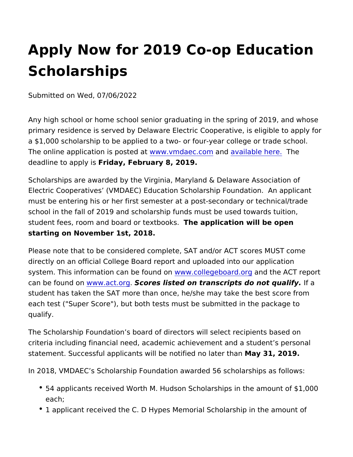## Apply Now for 2019 Co-op Educa Scholarships

Submitted on Wed, 07/06/2022

Any high school or home school senior graduating in the spring of primary residence is served by Delaware Electric Cooperative, is a \$1,000 scholarship to be applied to a two- or four-year college The online application is wpwows tend datec.com that vailable here he deadline to apphydiasy, February 8, 2019.

Scholarships are awarded by the Virginia, Maryland & Delaware A Electric Cooperatives (VMDAEC) Education Scholarship Foundati must be entering his or her first semester at a post-secondary or school in the fall of 2019 and scholarship funds must be used tow student fees, room and board orTheex appooksation will be open starting on November 1st, 2018.

Please note that to be considered complete, SAT and/or ACT scor directly on an official College Board report and uploaded into our system. This information can be wew found degreboard nodrothe ACT report can be found www.act.oscores listed on transcripts do not fqualify. student has taken the SAT more than once, he/she may take the b each test ("Super Score"), but both tests must be submitted in the qualify.

The Scholarship Foundation s board of directors will select recipi criteria including financial need, academic achievement and a stu statement. Successful applicants will be notMfagd3no 2@t1e9r.than

In 2018, VMDAEC s Scholarship Foundation awarded 56 scholarsh

- 54 applicants received Worth M. Hudson Scholarships in the a each;
- 1 applicant received the C. D Hypes Memorial Scholarship in t